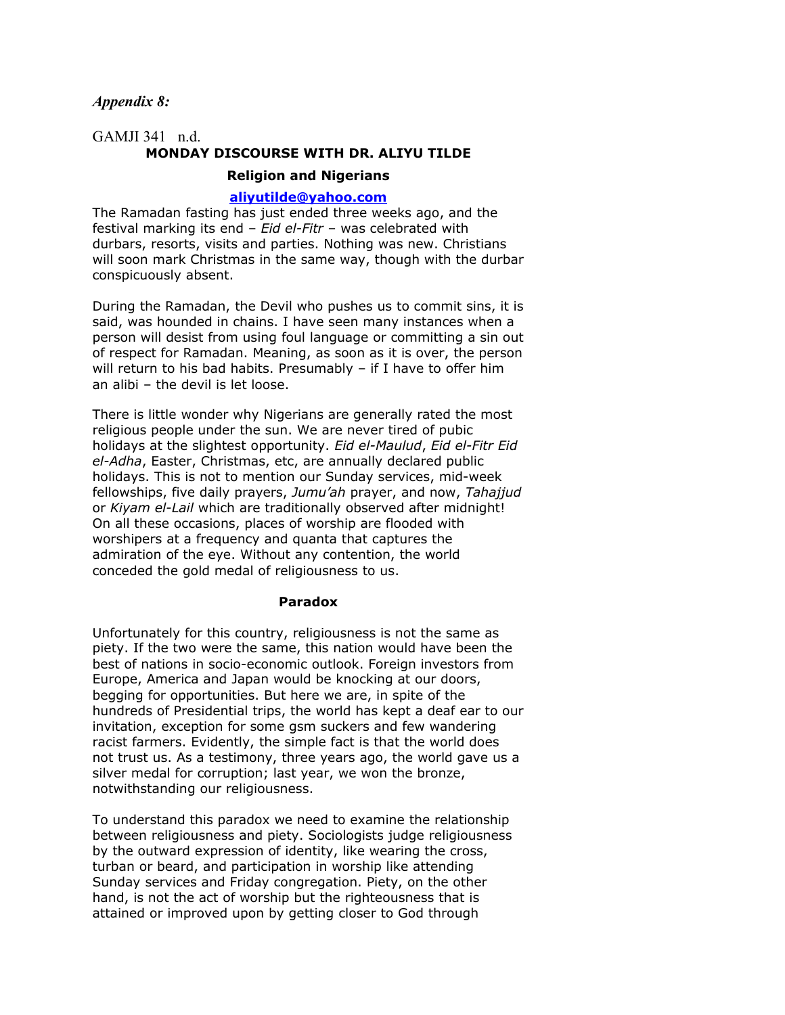*Appendix 8:*

# GAMJI 341 n.d. **MONDAY DISCOURSE WITH DR. ALIYU TILDE Religion and Nigerians**

# **[aliyutilde@yahoo.com](mailto:aliyutilde@yahoo.com)**

The Ramadan fasting has just ended three weeks ago, and the festival marking its end – *Eid el-Fitr* – was celebrated with durbars, resorts, visits and parties. Nothing was new. Christians will soon mark Christmas in the same way, though with the durbar conspicuously absent.

During the Ramadan, the Devil who pushes us to commit sins, it is said, was hounded in chains. I have seen many instances when a person will desist from using foul language or committing a sin out of respect for Ramadan. Meaning, as soon as it is over, the person will return to his bad habits. Presumably – if I have to offer him an alibi – the devil is let loose.

There is little wonder why Nigerians are generally rated the most religious people under the sun. We are never tired of pubic holidays at the slightest opportunity. *Eid el-Maulud*, *Eid el-Fitr Eid el-Adha*, Easter, Christmas, etc, are annually declared public holidays. This is not to mention our Sunday services, mid-week fellowships, five daily prayers, *Jumu'ah* prayer, and now, *Tahajjud* or *Kiyam el-Lail* which are traditionally observed after midnight! On all these occasions, places of worship are flooded with worshipers at a frequency and quanta that captures the admiration of the eye. Without any contention, the world conceded the gold medal of religiousness to us.

#### **Paradox**

Unfortunately for this country, religiousness is not the same as piety. If the two were the same, this nation would have been the best of nations in socio-economic outlook. Foreign investors from Europe, America and Japan would be knocking at our doors, begging for opportunities. But here we are, in spite of the hundreds of Presidential trips, the world has kept a deaf ear to our invitation, exception for some gsm suckers and few wandering racist farmers. Evidently, the simple fact is that the world does not trust us. As a testimony, three years ago, the world gave us a silver medal for corruption; last year, we won the bronze, notwithstanding our religiousness.

To understand this paradox we need to examine the relationship between religiousness and piety. Sociologists judge religiousness by the outward expression of identity, like wearing the cross, turban or beard, and participation in worship like attending Sunday services and Friday congregation. Piety, on the other hand, is not the act of worship but the righteousness that is attained or improved upon by getting closer to God through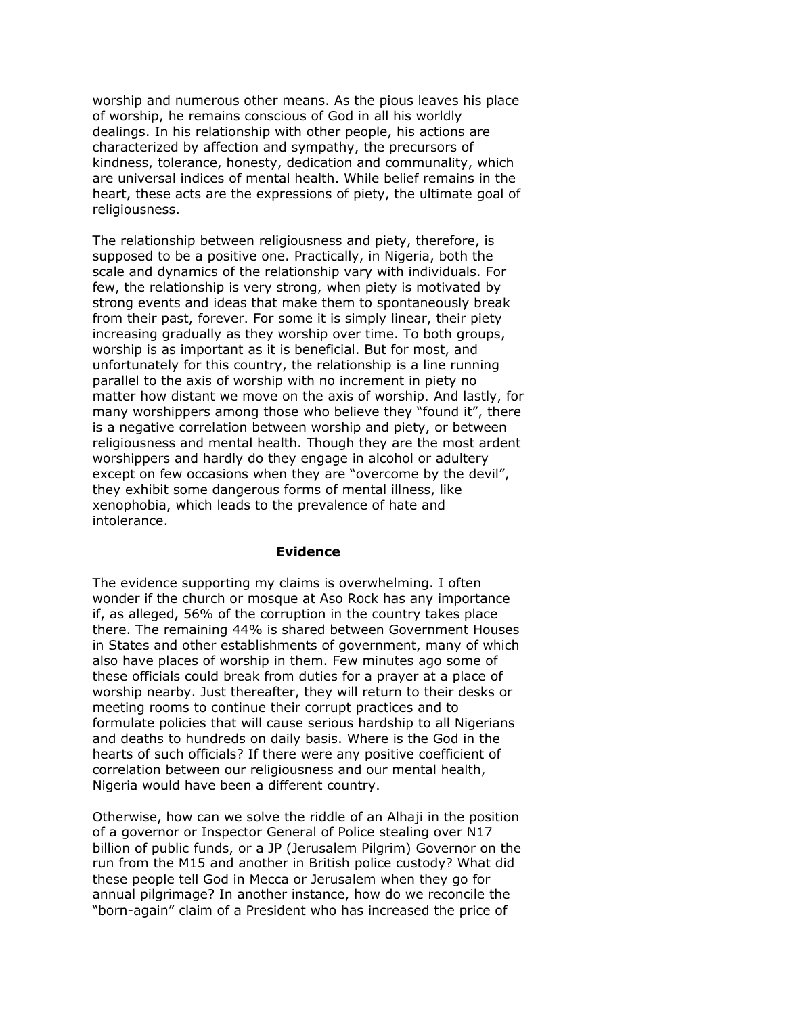worship and numerous other means. As the pious leaves his place of worship, he remains conscious of God in all his worldly dealings. In his relationship with other people, his actions are characterized by affection and sympathy, the precursors of kindness, tolerance, honesty, dedication and communality, which are universal indices of mental health. While belief remains in the heart, these acts are the expressions of piety, the ultimate goal of religiousness.

The relationship between religiousness and piety, therefore, is supposed to be a positive one. Practically, in Nigeria, both the scale and dynamics of the relationship vary with individuals. For few, the relationship is very strong, when piety is motivated by strong events and ideas that make them to spontaneously break from their past, forever. For some it is simply linear, their piety increasing gradually as they worship over time. To both groups, worship is as important as it is beneficial. But for most, and unfortunately for this country, the relationship is a line running parallel to the axis of worship with no increment in piety no matter how distant we move on the axis of worship. And lastly, for many worshippers among those who believe they "found it", there is a negative correlation between worship and piety, or between religiousness and mental health. Though they are the most ardent worshippers and hardly do they engage in alcohol or adultery except on few occasions when they are "overcome by the devil", they exhibit some dangerous forms of mental illness, like xenophobia, which leads to the prevalence of hate and intolerance.

## **Evidence**

The evidence supporting my claims is overwhelming. I often wonder if the church or mosque at Aso Rock has any importance if, as alleged, 56% of the corruption in the country takes place there. The remaining 44% is shared between Government Houses in States and other establishments of government, many of which also have places of worship in them. Few minutes ago some of these officials could break from duties for a prayer at a place of worship nearby. Just thereafter, they will return to their desks or meeting rooms to continue their corrupt practices and to formulate policies that will cause serious hardship to all Nigerians and deaths to hundreds on daily basis. Where is the God in the hearts of such officials? If there were any positive coefficient of correlation between our religiousness and our mental health, Nigeria would have been a different country.

Otherwise, how can we solve the riddle of an Alhaji in the position of a governor or Inspector General of Police stealing over N17 billion of public funds, or a JP (Jerusalem Pilgrim) Governor on the run from the M15 and another in British police custody? What did these people tell God in Mecca or Jerusalem when they go for annual pilgrimage? In another instance, how do we reconcile the "born-again" claim of a President who has increased the price of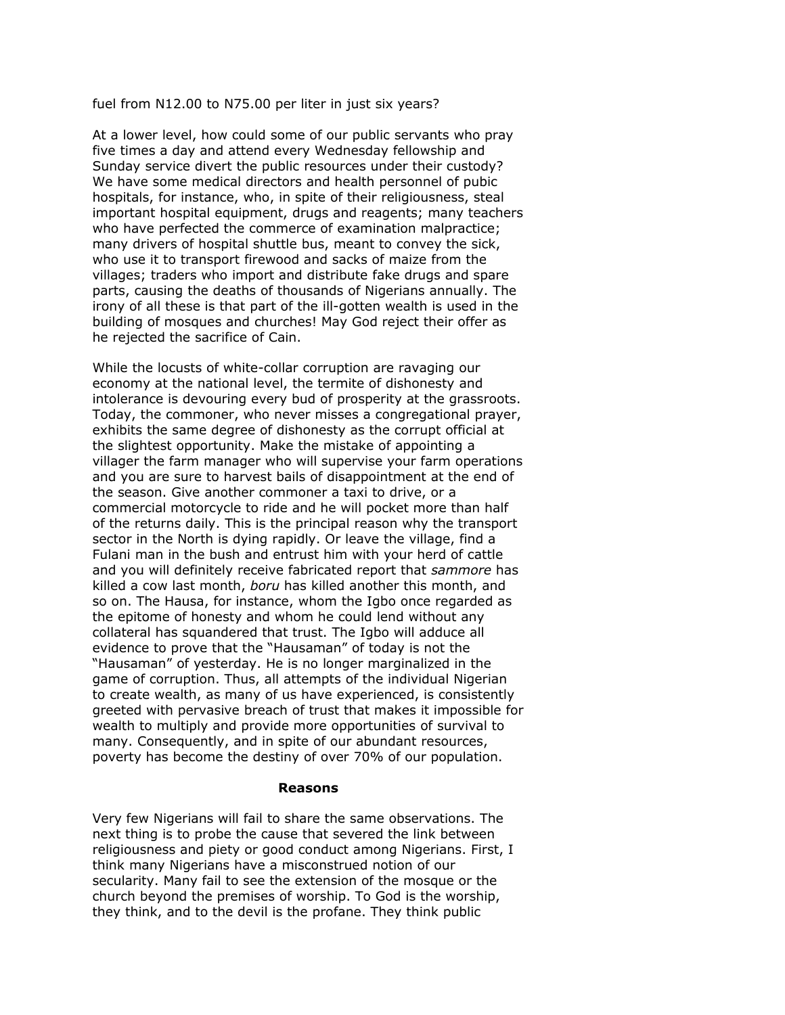fuel from N12.00 to N75.00 per liter in just six years?

At a lower level, how could some of our public servants who pray five times a day and attend every Wednesday fellowship and Sunday service divert the public resources under their custody? We have some medical directors and health personnel of pubic hospitals, for instance, who, in spite of their religiousness, steal important hospital equipment, drugs and reagents; many teachers who have perfected the commerce of examination malpractice; many drivers of hospital shuttle bus, meant to convey the sick, who use it to transport firewood and sacks of maize from the villages; traders who import and distribute fake drugs and spare parts, causing the deaths of thousands of Nigerians annually. The irony of all these is that part of the ill-gotten wealth is used in the building of mosques and churches! May God reject their offer as he rejected the sacrifice of Cain.

While the locusts of white-collar corruption are ravaging our economy at the national level, the termite of dishonesty and intolerance is devouring every bud of prosperity at the grassroots. Today, the commoner, who never misses a congregational prayer, exhibits the same degree of dishonesty as the corrupt official at the slightest opportunity. Make the mistake of appointing a villager the farm manager who will supervise your farm operations and you are sure to harvest bails of disappointment at the end of the season. Give another commoner a taxi to drive, or a commercial motorcycle to ride and he will pocket more than half of the returns daily. This is the principal reason why the transport sector in the North is dying rapidly. Or leave the village, find a Fulani man in the bush and entrust him with your herd of cattle and you will definitely receive fabricated report that *sammore* has killed a cow last month, *boru* has killed another this month, and so on. The Hausa, for instance, whom the Igbo once regarded as the epitome of honesty and whom he could lend without any collateral has squandered that trust. The Igbo will adduce all evidence to prove that the "Hausaman" of today is not the "Hausaman" of yesterday. He is no longer marginalized in the game of corruption. Thus, all attempts of the individual Nigerian to create wealth, as many of us have experienced, is consistently greeted with pervasive breach of trust that makes it impossible for wealth to multiply and provide more opportunities of survival to many. Consequently, and in spite of our abundant resources, poverty has become the destiny of over 70% of our population.

### **Reasons**

Very few Nigerians will fail to share the same observations. The next thing is to probe the cause that severed the link between religiousness and piety or good conduct among Nigerians. First, I think many Nigerians have a misconstrued notion of our secularity. Many fail to see the extension of the mosque or the church beyond the premises of worship. To God is the worship, they think, and to the devil is the profane. They think public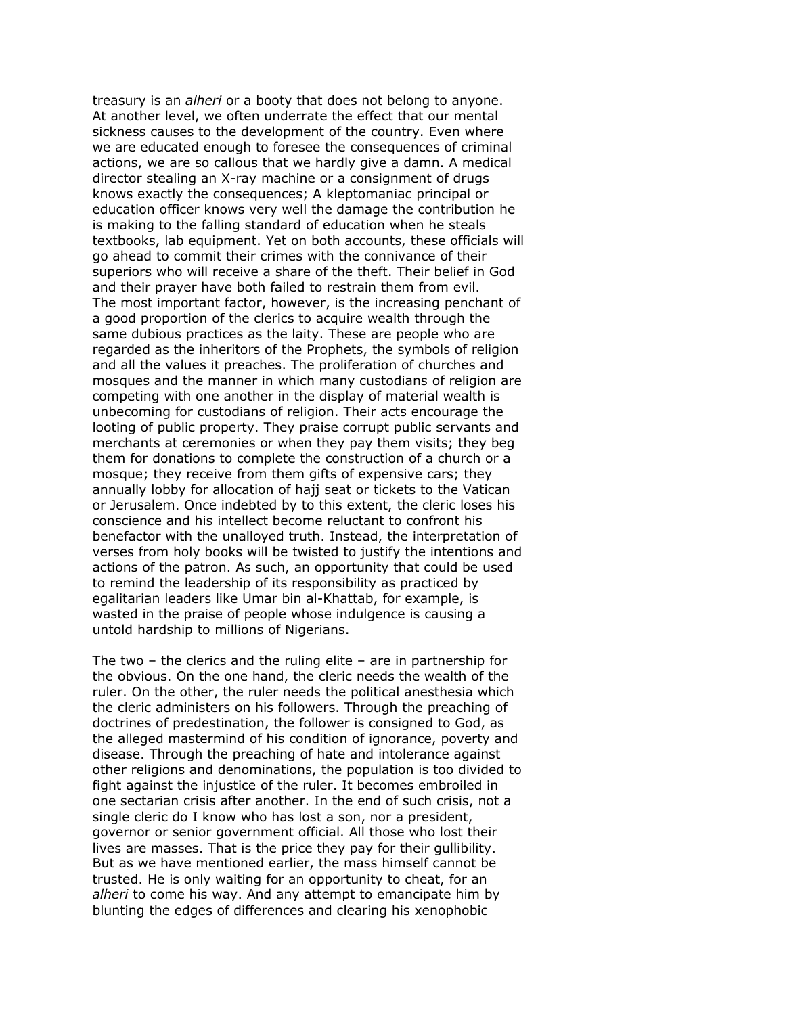treasury is an *alheri* or a booty that does not belong to anyone. At another level, we often underrate the effect that our mental sickness causes to the development of the country. Even where we are educated enough to foresee the consequences of criminal actions, we are so callous that we hardly give a damn. A medical director stealing an X-ray machine or a consignment of drugs knows exactly the consequences; A kleptomaniac principal or education officer knows very well the damage the contribution he is making to the falling standard of education when he steals textbooks, lab equipment. Yet on both accounts, these officials will go ahead to commit their crimes with the connivance of their superiors who will receive a share of the theft. Their belief in God and their prayer have both failed to restrain them from evil. The most important factor, however, is the increasing penchant of a good proportion of the clerics to acquire wealth through the same dubious practices as the laity. These are people who are regarded as the inheritors of the Prophets, the symbols of religion and all the values it preaches. The proliferation of churches and mosques and the manner in which many custodians of religion are competing with one another in the display of material wealth is unbecoming for custodians of religion. Their acts encourage the looting of public property. They praise corrupt public servants and merchants at ceremonies or when they pay them visits; they beg them for donations to complete the construction of a church or a mosque; they receive from them gifts of expensive cars; they annually lobby for allocation of hajj seat or tickets to the Vatican or Jerusalem. Once indebted by to this extent, the cleric loses his conscience and his intellect become reluctant to confront his benefactor with the unalloyed truth. Instead, the interpretation of verses from holy books will be twisted to justify the intentions and actions of the patron. As such, an opportunity that could be used to remind the leadership of its responsibility as practiced by egalitarian leaders like Umar bin al-Khattab, for example, is wasted in the praise of people whose indulgence is causing a untold hardship to millions of Nigerians.

The two – the clerics and the ruling elite – are in partnership for the obvious. On the one hand, the cleric needs the wealth of the ruler. On the other, the ruler needs the political anesthesia which the cleric administers on his followers. Through the preaching of doctrines of predestination, the follower is consigned to God, as the alleged mastermind of his condition of ignorance, poverty and disease. Through the preaching of hate and intolerance against other religions and denominations, the population is too divided to fight against the injustice of the ruler. It becomes embroiled in one sectarian crisis after another. In the end of such crisis, not a single cleric do I know who has lost a son, nor a president, governor or senior government official. All those who lost their lives are masses. That is the price they pay for their gullibility. But as we have mentioned earlier, the mass himself cannot be trusted. He is only waiting for an opportunity to cheat, for an *alheri* to come his way. And any attempt to emancipate him by blunting the edges of differences and clearing his xenophobic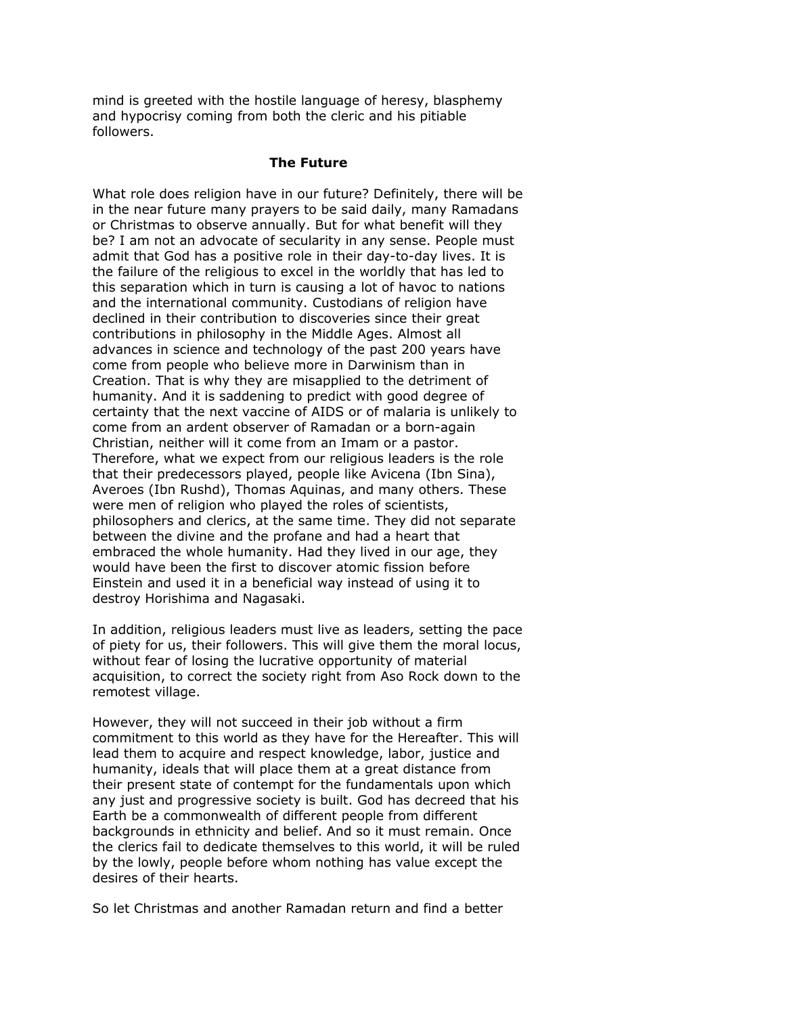mind is greeted with the hostile language of heresy, blasphemy and hypocrisy coming from both the cleric and his pitiable followers.

### **The Future**

What role does religion have in our future? Definitely, there will be in the near future many prayers to be said daily, many Ramadans or Christmas to observe annually. But for what benefit will they be? I am not an advocate of secularity in any sense. People must admit that God has a positive role in their day-to-day lives. It is the failure of the religious to excel in the worldly that has led to this separation which in turn is causing a lot of havoc to nations and the international community. Custodians of religion have declined in their contribution to discoveries since their great contributions in philosophy in the Middle Ages. Almost all advances in science and technology of the past 200 years have come from people who believe more in Darwinism than in Creation. That is why they are misapplied to the detriment of humanity. And it is saddening to predict with good degree of certainty that the next vaccine of AIDS or of malaria is unlikely to come from an ardent observer of Ramadan or a born-again Christian, neither will it come from an Imam or a pastor. Therefore, what we expect from our religious leaders is the role that their predecessors played, people like Avicena (Ibn Sina), Averoes (Ibn Rushd), Thomas Aquinas, and many others. These were men of religion who played the roles of scientists, philosophers and clerics, at the same time. They did not separate between the divine and the profane and had a heart that embraced the whole humanity. Had they lived in our age, they would have been the first to discover atomic fission before Einstein and used it in a beneficial way instead of using it to destroy Horishima and Nagasaki.

In addition, religious leaders must live as leaders, setting the pace of piety for us, their followers. This will give them the moral locus, without fear of losing the lucrative opportunity of material acquisition, to correct the society right from Aso Rock down to the remotest village.

However, they will not succeed in their job without a firm commitment to this world as they have for the Hereafter. This will lead them to acquire and respect knowledge, labor, justice and humanity, ideals that will place them at a great distance from their present state of contempt for the fundamentals upon which any just and progressive society is built. God has decreed that his Earth be a commonwealth of different people from different backgrounds in ethnicity and belief. And so it must remain. Once the clerics fail to dedicate themselves to this world, it will be ruled by the lowly, people before whom nothing has value except the desires of their hearts.

So let Christmas and another Ramadan return and find a better